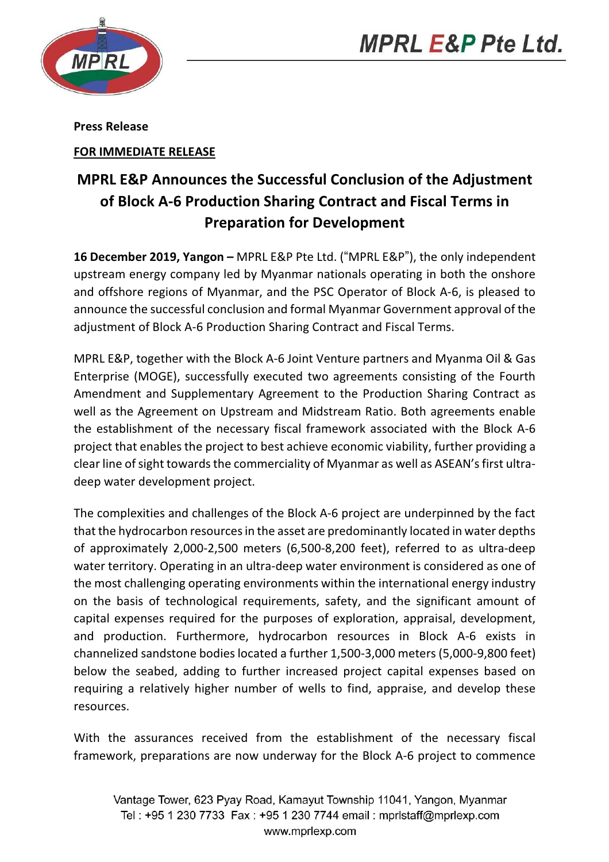



Press Release

FOR IMMEDIATE RELEASE

## MPRL E&P Announces the Successful Conclusion of the Adjustment of Block A-6 Production Sharing Contract and Fiscal Terms in Preparation for Development

16 December 2019, Yangon – MPRL E&P Pte Ltd. ("MPRL E&P"), the only independent upstream energy company led by Myanmar nationals operating in both the onshore and offshore regions of Myanmar, and the PSC Operator of Block A-6, is pleased to announce the successful conclusion and formal Myanmar Government approval of the adjustment of Block A-6 Production Sharing Contract and Fiscal Terms.

MPRL E&P, together with the Block A-6 Joint Venture partners and Myanma Oil & Gas Enterprise (MOGE), successfully executed two agreements consisting of the Fourth Amendment and Supplementary Agreement to the Production Sharing Contract as well as the Agreement on Upstream and Midstream Ratio. Both agreements enable the establishment of the necessary fiscal framework associated with the Block A-6 project that enables the project to best achieve economic viability, further providing a clear line of sight towards the commerciality of Myanmar as well as ASEAN's first ultradeep water development project.

The complexities and challenges of the Block A-6 project are underpinned by the fact that the hydrocarbon resources in the asset are predominantly located in water depths of approximately 2,000-2,500 meters (6,500-8,200 feet), referred to as ultra-deep water territory. Operating in an ultra-deep water environment is considered as one of the most challenging operating environments within the international energy industry on the basis of technological requirements, safety, and the significant amount of capital expenses required for the purposes of exploration, appraisal, development, and production. Furthermore, hydrocarbon resources in Block A-6 exists in channelized sandstone bodies located a further 1,500-3,000 meters (5,000-9,800 feet) below the seabed, adding to further increased project capital expenses based on requiring a relatively higher number of wells to find, appraise, and develop these resources.

With the assurances received from the establishment of the necessary fiscal framework, preparations are now underway for the Block A-6 project to commence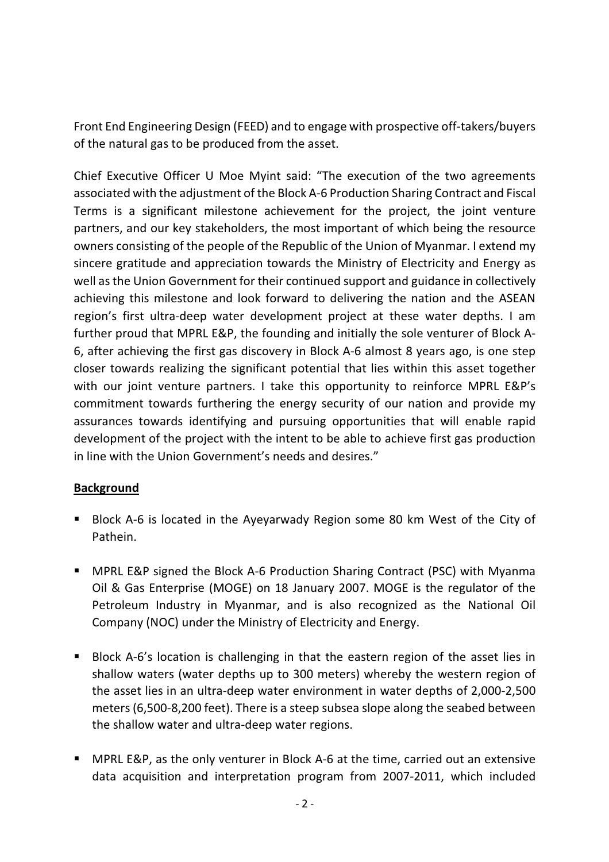Front End Engineering Design (FEED) and to engage with prospective off-takers/buyers of the natural gas to be produced from the asset.

Chief Executive Officer U Moe Myint said: "The execution of the two agreements associated with the adjustment of the Block A-6 Production Sharing Contract and Fiscal Terms is a significant milestone achievement for the project, the joint venture partners, and our key stakeholders, the most important of which being the resource owners consisting of the people of the Republic of the Union of Myanmar. I extend my sincere gratitude and appreciation towards the Ministry of Electricity and Energy as well as the Union Government for their continued support and guidance in collectively achieving this milestone and look forward to delivering the nation and the ASEAN region's first ultra-deep water development project at these water depths. I am further proud that MPRL E&P, the founding and initially the sole venturer of Block A-6, after achieving the first gas discovery in Block A-6 almost 8 years ago, is one step closer towards realizing the significant potential that lies within this asset together with our joint venture partners. I take this opportunity to reinforce MPRL E&P's commitment towards furthering the energy security of our nation and provide my assurances towards identifying and pursuing opportunities that will enable rapid development of the project with the intent to be able to achieve first gas production in line with the Union Government's needs and desires."

## **Background**

- Block A-6 is located in the Ayeyarwady Region some 80 km West of the City of Pathein.
- MPRL E&P signed the Block A-6 Production Sharing Contract (PSC) with Myanma Oil & Gas Enterprise (MOGE) on 18 January 2007. MOGE is the regulator of the Petroleum Industry in Myanmar, and is also recognized as the National Oil Company (NOC) under the Ministry of Electricity and Energy.
- Block A-6's location is challenging in that the eastern region of the asset lies in shallow waters (water depths up to 300 meters) whereby the western region of the asset lies in an ultra-deep water environment in water depths of 2,000-2,500 meters (6,500-8,200 feet). There is a steep subsea slope along the seabed between the shallow water and ultra-deep water regions.
- MPRL E&P, as the only venturer in Block A-6 at the time, carried out an extensive data acquisition and interpretation program from 2007-2011, which included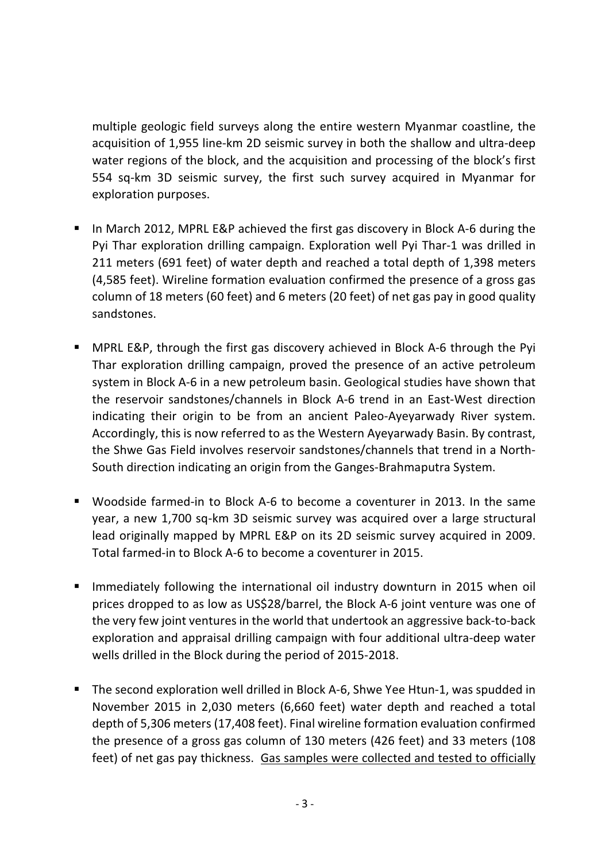multiple geologic field surveys along the entire western Myanmar coastline, the acquisition of 1,955 line-km 2D seismic survey in both the shallow and ultra-deep water regions of the block, and the acquisition and processing of the block's first 554 sq-km 3D seismic survey, the first such survey acquired in Myanmar for exploration purposes.

- In March 2012, MPRL E&P achieved the first gas discovery in Block A-6 during the Pyi Thar exploration drilling campaign. Exploration well Pyi Thar-1 was drilled in 211 meters (691 feet) of water depth and reached a total depth of 1,398 meters (4,585 feet). Wireline formation evaluation confirmed the presence of a gross gas column of 18 meters (60 feet) and 6 meters (20 feet) of net gas pay in good quality sandstones.
- MPRL E&P, through the first gas discovery achieved in Block A-6 through the Pyi Thar exploration drilling campaign, proved the presence of an active petroleum system in Block A-6 in a new petroleum basin. Geological studies have shown that the reservoir sandstones/channels in Block A-6 trend in an East-West direction indicating their origin to be from an ancient Paleo-Ayeyarwady River system. Accordingly, this is now referred to as the Western Ayeyarwady Basin. By contrast, the Shwe Gas Field involves reservoir sandstones/channels that trend in a North-South direction indicating an origin from the Ganges-Brahmaputra System.
- Woodside farmed-in to Block A-6 to become a coventurer in 2013. In the same year, a new 1,700 sq-km 3D seismic survey was acquired over a large structural lead originally mapped by MPRL E&P on its 2D seismic survey acquired in 2009. Total farmed-in to Block A-6 to become a coventurer in 2015.
- **IMMED 10** Immediately following the international oil industry downturn in 2015 when oil prices dropped to as low as US\$28/barrel, the Block A-6 joint venture was one of the very few joint ventures in the world that undertook an aggressive back-to-back exploration and appraisal drilling campaign with four additional ultra-deep water wells drilled in the Block during the period of 2015-2018.
- The second exploration well drilled in Block A-6, Shwe Yee Htun-1, was spudded in November 2015 in 2,030 meters (6,660 feet) water depth and reached a total depth of 5,306 meters (17,408 feet). Final wireline formation evaluation confirmed the presence of a gross gas column of 130 meters (426 feet) and 33 meters (108 feet) of net gas pay thickness. Gas samples were collected and tested to officially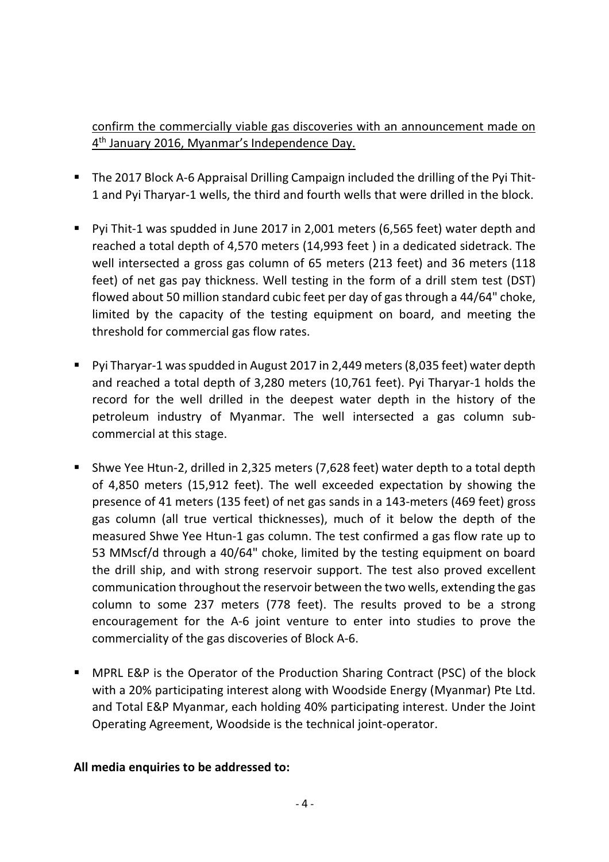confirm the commercially viable gas discoveries with an announcement made on 4<sup>th</sup> January 2016, Myanmar's Independence Day.

- The 2017 Block A-6 Appraisal Drilling Campaign included the drilling of the Pyi Thit-1 and Pyi Tharyar-1 wells, the third and fourth wells that were drilled in the block.
- Pyi Thit-1 was spudded in June 2017 in 2,001 meters (6,565 feet) water depth and reached a total depth of 4,570 meters (14,993 feet ) in a dedicated sidetrack. The well intersected a gross gas column of 65 meters (213 feet) and 36 meters (118 feet) of net gas pay thickness. Well testing in the form of a drill stem test (DST) flowed about 50 million standard cubic feet per day of gas through a 44/64" choke, limited by the capacity of the testing equipment on board, and meeting the threshold for commercial gas flow rates.
- Pyi Tharyar-1 was spudded in August 2017 in 2,449 meters (8,035 feet) water depth and reached a total depth of 3,280 meters (10,761 feet). Pyi Tharyar-1 holds the record for the well drilled in the deepest water depth in the history of the petroleum industry of Myanmar. The well intersected a gas column subcommercial at this stage.
- Shwe Yee Htun-2, drilled in 2,325 meters (7,628 feet) water depth to a total depth of 4,850 meters (15,912 feet). The well exceeded expectation by showing the presence of 41 meters (135 feet) of net gas sands in a 143-meters (469 feet) gross gas column (all true vertical thicknesses), much of it below the depth of the measured Shwe Yee Htun-1 gas column. The test confirmed a gas flow rate up to 53 MMscf/d through a 40/64" choke, limited by the testing equipment on board the drill ship, and with strong reservoir support. The test also proved excellent communication throughout the reservoir between the two wells, extending the gas column to some 237 meters (778 feet). The results proved to be a strong encouragement for the A-6 joint venture to enter into studies to prove the commerciality of the gas discoveries of Block A-6.
- MPRL E&P is the Operator of the Production Sharing Contract (PSC) of the block with a 20% participating interest along with Woodside Energy (Myanmar) Pte Ltd. and Total E&P Myanmar, each holding 40% participating interest. Under the Joint Operating Agreement, Woodside is the technical joint-operator.

## All media enquiries to be addressed to: